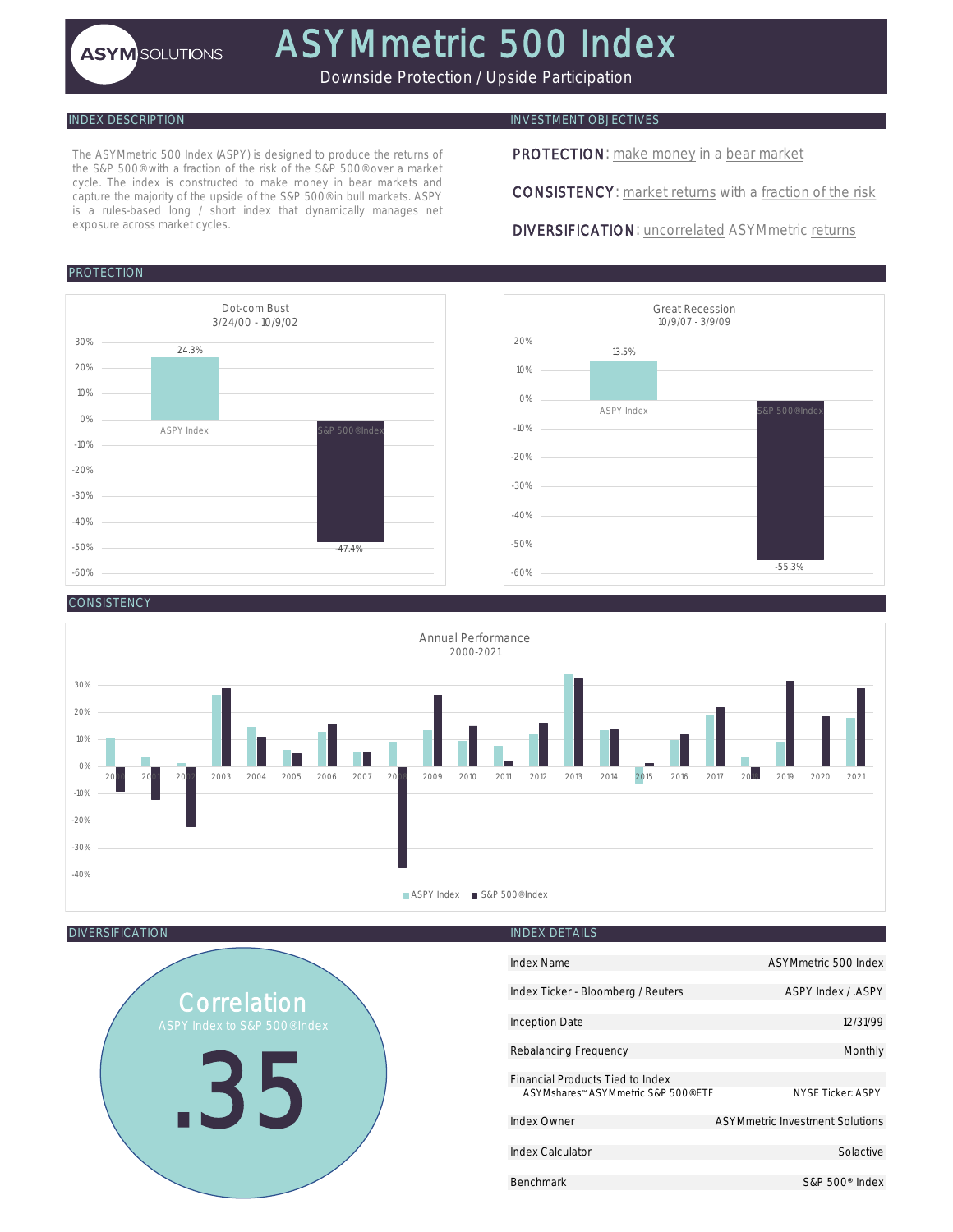Downside Protection / Upside Participation

The ASYMmetric 500 Index (ASPY) is designed to produce the returns of the S&P 500® with a fraction of the risk of the S&P 500® over a market cycle. The index is constructed to make money in bear markets and capture the majority of the upside of the S&P 500® in bull markets. ASPY is a rules-based long / short index that dynamically manages net exposure across market cycles.

# PROTECTION



# INDEX DESCRIPTION INVESTMENT OBJECTIVES

PROTECTION: make money in a bear market

CONSISTENCY: market returns with a fraction of the risk

DIVERSIFICATION: uncorrelated ASYMmetric returns



## CONSISTENC<sup>®</sup>



DIVERSIFICATION **INDEX DETAILS** 

# Correlation .35

| Index Name                          | ASYMmetric 500 Index            |
|-------------------------------------|---------------------------------|
| Index Ticker - Bloomberg / Reuters  | ASPY Index / ASPY               |
| <b>Inception Date</b>               | 12/31/99                        |
| Rebalancing Frequency               | Monthly                         |
| Financial Products Tied to Index    |                                 |
| ASYMshares™ ASYMmetric S&P 500® FTF | <b>NYSE Ticker: ASPY</b>        |
| Index Owner                         | ASYMmetric Investment Solutions |
|                                     |                                 |
| <b>Index Calculator</b>             | Solactive                       |
|                                     |                                 |
| <b>Benchmark</b>                    | $S\&P 500$ <sup>®</sup> Index   |